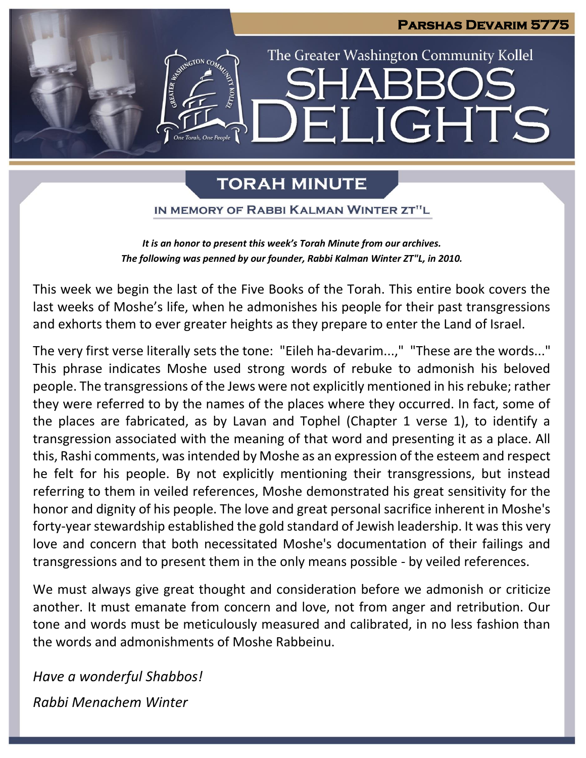

# **TORAH MINUTE**

IN MEMORY OF RABBI KALMAN WINTER ZT"L

*It is an honor to present this week's Torah Minute from our archives. The following was penned by our founder, Rabbi Kalman Winter ZT"L, in 2010.*

This week we begin the last of the Five Books of the Torah. This entire book covers the last weeks of Moshe's life, when he admonishes his people for their past transgressions and exhorts them to ever greater heights as they prepare to enter the Land of Israel.

The very first verse literally sets the tone: "Eileh ha-devarim...," "These are the words..." This phrase indicates Moshe used strong words of rebuke to admonish his beloved people. The transgressions of the Jews were not explicitly mentioned in his rebuke; rather they were referred to by the names of the places where they occurred. In fact, some of the places are fabricated, as by Lavan and Tophel (Chapter 1 verse 1), to identify a transgression associated with the meaning of that word and presenting it as a place. All this, Rashi comments, was intended by Moshe as an expression of the esteem and respect he felt for his people. By not explicitly mentioning their transgressions, but instead referring to them in veiled references, Moshe demonstrated his great sensitivity for the honor and dignity of his people. The love and great personal sacrifice inherent in Moshe's forty-year stewardship established the gold standard of Jewish leadership. It was this very love and concern that both necessitated Moshe's documentation of their failings and transgressions and to present them in the only means possible - by veiled references.

We must always give great thought and consideration before we admonish or criticize another. It must emanate from concern and love, not from anger and retribution. Our tone and words must be meticulously measured and calibrated, in no less fashion than the words and admonishments of Moshe Rabbeinu.

*Have a wonderful Shabbos! Rabbi Menachem Winter*